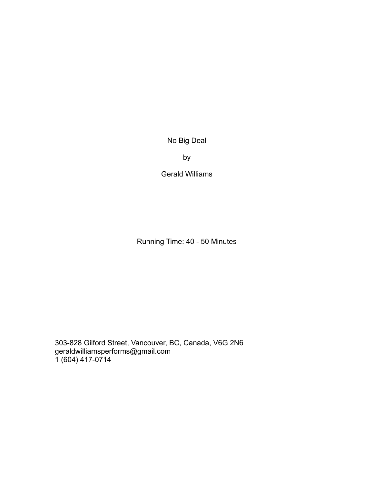No Big Deal

by

Gerald Williams

Running Time: 40 - 50 Minutes

303-828 Gilford Street, Vancouver, BC, Canada, V6G 2N6 geraldwilliamsperforms@gmail.com 1 (604) 417-0714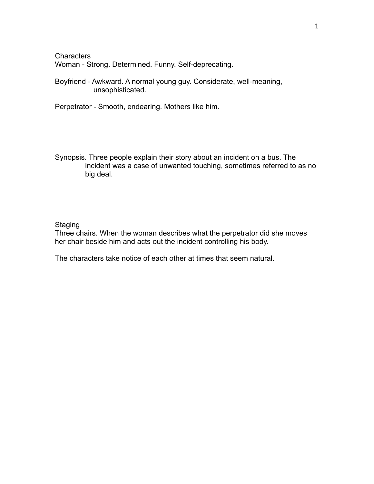**Characters** Woman - Strong. Determined. Funny. Self-deprecating.

Boyfriend - Awkward. A normal young guy. Considerate, well-meaning, unsophisticated.

Perpetrator - Smooth, endearing. Mothers like him.

Synopsis. Three people explain their story about an incident on a bus. The incident was a case of unwanted touching, sometimes referred to as no big deal.

## Staging

Three chairs. When the woman describes what the perpetrator did she moves her chair beside him and acts out the incident controlling his body.

The characters take notice of each other at times that seem natural.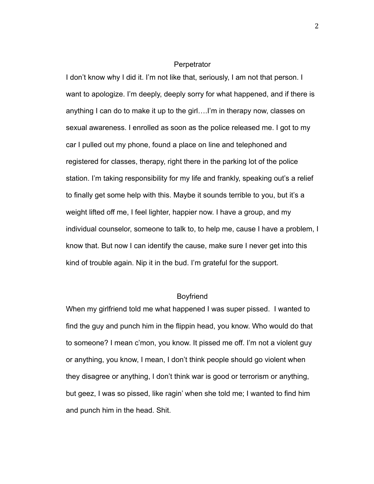### **Perpetrator**

I don't know why I did it. I'm not like that, seriously, I am not that person. I want to apologize. I'm deeply, deeply sorry for what happened, and if there is anything I can do to make it up to the girl….I'm in therapy now, classes on sexual awareness. I enrolled as soon as the police released me. I got to my car I pulled out my phone, found a place on line and telephoned and registered for classes, therapy, right there in the parking lot of the police station. I'm taking responsibility for my life and frankly, speaking out's a relief to finally get some help with this. Maybe it sounds terrible to you, but it's a weight lifted off me, I feel lighter, happier now. I have a group, and my individual counselor, someone to talk to, to help me, cause I have a problem, I know that. But now I can identify the cause, make sure I never get into this kind of trouble again. Nip it in the bud. I'm grateful for the support.

# **Boyfriend**

When my girlfriend told me what happened I was super pissed. I wanted to find the guy and punch him in the flippin head, you know. Who would do that to someone? I mean c'mon, you know. It pissed me off. I'm not a violent guy or anything, you know, I mean, I don't think people should go violent when they disagree or anything, I don't think war is good or terrorism or anything, but geez, I was so pissed, like ragin' when she told me; I wanted to find him and punch him in the head. Shit.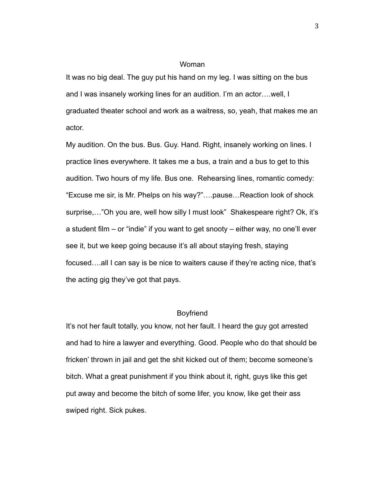It was no big deal. The guy put his hand on my leg. I was sitting on the bus and I was insanely working lines for an audition. I'm an actor….well, I graduated theater school and work as a waitress, so, yeah, that makes me an actor.

My audition. On the bus. Bus. Guy. Hand. Right, insanely working on lines. I practice lines everywhere. It takes me a bus, a train and a bus to get to this audition. Two hours of my life. Bus one. Rehearsing lines, romantic comedy: "Excuse me sir, is Mr. Phelps on his way?"….pause…Reaction look of shock surprise,..."Oh you are, well how silly I must look" Shakespeare right? Ok, it's a student film – or "indie" if you want to get snooty – either way, no one'll ever see it, but we keep going because it's all about staying fresh, staying focused….all I can say is be nice to waiters cause if they're acting nice, that's the acting gig they've got that pays.

## Boyfriend

It's not her fault totally, you know, not her fault. I heard the guy got arrested and had to hire a lawyer and everything. Good. People who do that should be fricken' thrown in jail and get the shit kicked out of them; become someone's bitch. What a great punishment if you think about it, right, guys like this get put away and become the bitch of some lifer, you know, like get their ass swiped right. Sick pukes.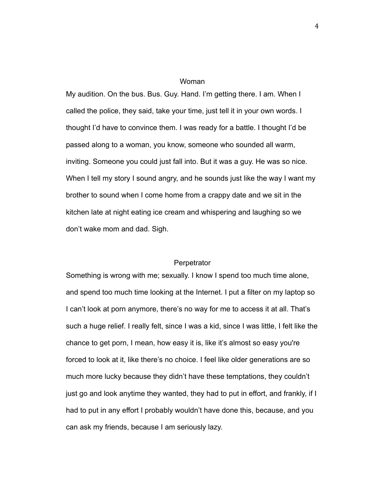My audition. On the bus. Bus. Guy. Hand. I'm getting there. I am. When I called the police, they said, take your time, just tell it in your own words. I thought I'd have to convince them. I was ready for a battle. I thought I'd be passed along to a woman, you know, someone who sounded all warm, inviting. Someone you could just fall into. But it was a guy. He was so nice. When I tell my story I sound angry, and he sounds just like the way I want my brother to sound when I come home from a crappy date and we sit in the kitchen late at night eating ice cream and whispering and laughing so we don't wake mom and dad. Sigh.

### **Perpetrator**

Something is wrong with me; sexually. I know I spend too much time alone, and spend too much time looking at the Internet. I put a filter on my laptop so I can't look at porn anymore, there's no way for me to access it at all. That's such a huge relief. I really felt, since I was a kid, since I was little, I felt like the chance to get porn, I mean, how easy it is, like it's almost so easy you're forced to look at it, like there's no choice. I feel like older generations are so much more lucky because they didn't have these temptations, they couldn't just go and look anytime they wanted, they had to put in effort, and frankly, if I had to put in any effort I probably wouldn't have done this, because, and you can ask my friends, because I am seriously lazy.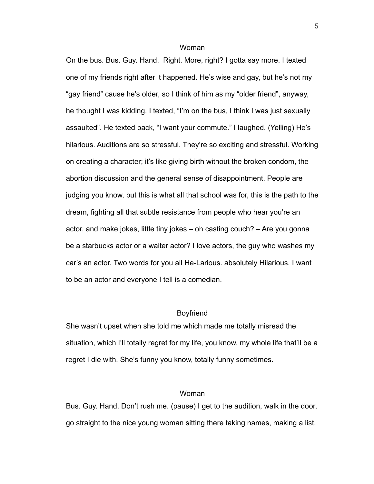On the bus. Bus. Guy. Hand. Right. More, right? I gotta say more. I texted one of my friends right after it happened. He's wise and gay, but he's not my "gay friend" cause he's older, so I think of him as my "older friend", anyway, he thought I was kidding. I texted, "I'm on the bus, I think I was just sexually assaulted". He texted back, "I want your commute." I laughed. (Yelling) He's hilarious. Auditions are so stressful. They're so exciting and stressful. Working on creating a character; it's like giving birth without the broken condom, the abortion discussion and the general sense of disappointment. People are judging you know, but this is what all that school was for, this is the path to the dream, fighting all that subtle resistance from people who hear you're an actor, and make jokes, little tiny jokes – oh casting couch? – Are you gonna be a starbucks actor or a waiter actor? I love actors, the guy who washes my car's an actor. Two words for you all He-Larious. absolutely Hilarious. I want to be an actor and everyone I tell is a comedian.

#### Boyfriend

She wasn't upset when she told me which made me totally misread the situation, which I'll totally regret for my life, you know, my whole life that'll be a regret I die with. She's funny you know, totally funny sometimes.

### Woman

Bus. Guy. Hand. Don't rush me. (pause) I get to the audition, walk in the door, go straight to the nice young woman sitting there taking names, making a list,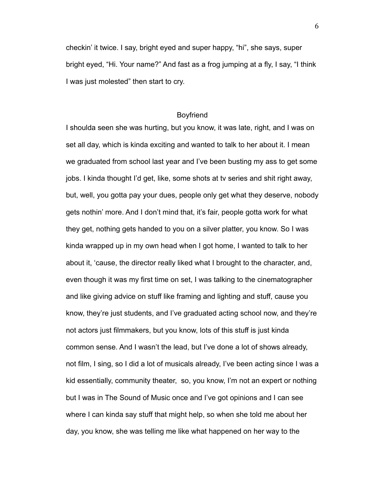checkin' it twice. I say, bright eyed and super happy, "hi", she says, super bright eyed, "Hi. Your name?" And fast as a frog jumping at a fly, I say, "I think I was just molested" then start to cry.

## Boyfriend

I shoulda seen she was hurting, but you know, it was late, right, and I was on set all day, which is kinda exciting and wanted to talk to her about it. I mean we graduated from school last year and I've been busting my ass to get some jobs. I kinda thought I'd get, like, some shots at tv series and shit right away, but, well, you gotta pay your dues, people only get what they deserve, nobody gets nothin' more. And I don't mind that, it's fair, people gotta work for what they get, nothing gets handed to you on a silver platter, you know. So I was kinda wrapped up in my own head when I got home, I wanted to talk to her about it, 'cause, the director really liked what I brought to the character, and, even though it was my first time on set, I was talking to the cinematographer and like giving advice on stuff like framing and lighting and stuff, cause you know, they're just students, and I've graduated acting school now, and they're not actors just filmmakers, but you know, lots of this stuff is just kinda common sense. And I wasn't the lead, but I've done a lot of shows already, not film, I sing, so I did a lot of musicals already, I've been acting since I was a kid essentially, community theater, so, you know, I'm not an expert or nothing but I was in The Sound of Music once and I've got opinions and I can see where I can kinda say stuff that might help, so when she told me about her day, you know, she was telling me like what happened on her way to the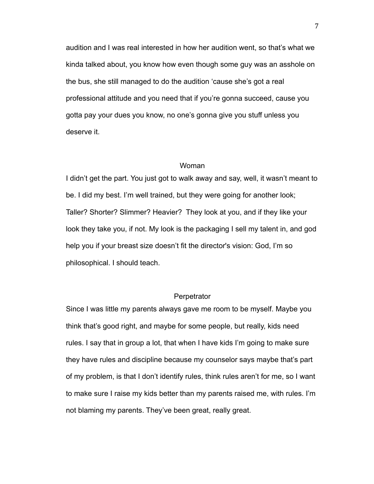audition and I was real interested in how her audition went, so that's what we kinda talked about, you know how even though some guy was an asshole on the bus, she still managed to do the audition 'cause she's got a real professional attitude and you need that if you're gonna succeed, cause you gotta pay your dues you know, no one's gonna give you stuff unless you deserve it.

## Woman

I didn't get the part. You just got to walk away and say, well, it wasn't meant to be. I did my best. I'm well trained, but they were going for another look; Taller? Shorter? Slimmer? Heavier? They look at you, and if they like your look they take you, if not. My look is the packaging I sell my talent in, and god help you if your breast size doesn't fit the director's vision: God, I'm so philosophical. I should teach.

## **Perpetrator**

Since I was little my parents always gave me room to be myself. Maybe you think that's good right, and maybe for some people, but really, kids need rules. I say that in group a lot, that when I have kids I'm going to make sure they have rules and discipline because my counselor says maybe that's part of my problem, is that I don't identify rules, think rules aren't for me, so I want to make sure I raise my kids better than my parents raised me, with rules. I'm not blaming my parents. They've been great, really great.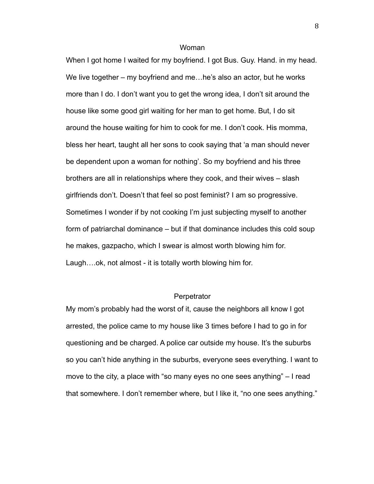When I got home I waited for my boyfriend. I got Bus. Guy. Hand. in my head. We live together – my boyfriend and me...he's also an actor, but he works more than I do. I don't want you to get the wrong idea, I don't sit around the house like some good girl waiting for her man to get home. But, I do sit around the house waiting for him to cook for me. I don't cook. His momma, bless her heart, taught all her sons to cook saying that 'a man should never be dependent upon a woman for nothing'. So my boyfriend and his three brothers are all in relationships where they cook, and their wives – slash girlfriends don't. Doesn't that feel so post feminist? I am so progressive. Sometimes I wonder if by not cooking I'm just subjecting myself to another form of patriarchal dominance – but if that dominance includes this cold soup he makes, gazpacho, which I swear is almost worth blowing him for. Laugh….ok, not almost - it is totally worth blowing him for.

## **Perpetrator**

My mom's probably had the worst of it, cause the neighbors all know I got arrested, the police came to my house like 3 times before I had to go in for questioning and be charged. A police car outside my house. It's the suburbs so you can't hide anything in the suburbs, everyone sees everything. I want to move to the city, a place with "so many eyes no one sees anything" – I read that somewhere. I don't remember where, but I like it, "no one sees anything."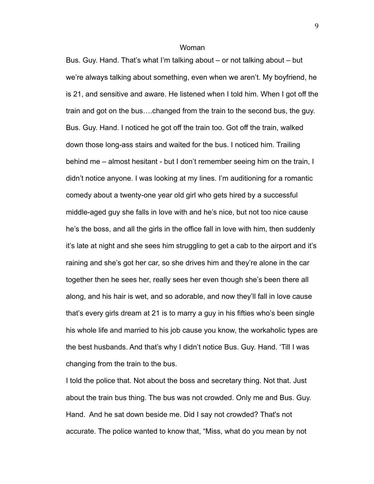Bus. Guy. Hand. That's what I'm talking about – or not talking about – but we're always talking about something, even when we aren't. My boyfriend, he is 21, and sensitive and aware. He listened when I told him. When I got off the train and got on the bus….changed from the train to the second bus, the guy. Bus. Guy. Hand. I noticed he got off the train too. Got off the train, walked down those long-ass stairs and waited for the bus. I noticed him. Trailing behind me – almost hesitant - but I don't remember seeing him on the train, I didn't notice anyone. I was looking at my lines. I'm auditioning for a romantic comedy about a twenty-one year old girl who gets hired by a successful middle-aged guy she falls in love with and he's nice, but not too nice cause he's the boss, and all the girls in the office fall in love with him, then suddenly it's late at night and she sees him struggling to get a cab to the airport and it's raining and she's got her car, so she drives him and they're alone in the car together then he sees her, really sees her even though she's been there all along, and his hair is wet, and so adorable, and now they'll fall in love cause that's every girls dream at 21 is to marry a guy in his fifties who's been single his whole life and married to his job cause you know, the workaholic types are the best husbands. And that's why I didn't notice Bus. Guy. Hand. 'Till I was changing from the train to the bus.

I told the police that. Not about the boss and secretary thing. Not that. Just about the train bus thing. The bus was not crowded. Only me and Bus. Guy. Hand. And he sat down beside me. Did I say not crowded? That's not accurate. The police wanted to know that, "Miss, what do you mean by not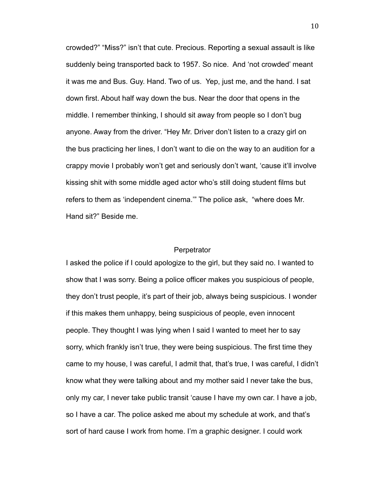crowded?" "Miss?" isn't that cute. Precious. Reporting a sexual assault is like suddenly being transported back to 1957. So nice. And 'not crowded' meant it was me and Bus. Guy. Hand. Two of us. Yep, just me, and the hand. I sat down first. About half way down the bus. Near the door that opens in the middle. I remember thinking, I should sit away from people so I don't bug anyone. Away from the driver. "Hey Mr. Driver don't listen to a crazy girl on the bus practicing her lines, I don't want to die on the way to an audition for a crappy movie I probably won't get and seriously don't want, 'cause it'll involve kissing shit with some middle aged actor who's still doing student films but refers to them as 'independent cinema.'" The police ask, "where does Mr. Hand sit?" Beside me.

### **Perpetrator**

I asked the police if I could apologize to the girl, but they said no. I wanted to show that I was sorry. Being a police officer makes you suspicious of people, they don't trust people, it's part of their job, always being suspicious. I wonder if this makes them unhappy, being suspicious of people, even innocent people. They thought I was lying when I said I wanted to meet her to say sorry, which frankly isn't true, they were being suspicious. The first time they came to my house, I was careful, I admit that, that's true, I was careful, I didn't know what they were talking about and my mother said I never take the bus, only my car, I never take public transit 'cause I have my own car. I have a job, so I have a car. The police asked me about my schedule at work, and that's sort of hard cause I work from home. I'm a graphic designer. I could work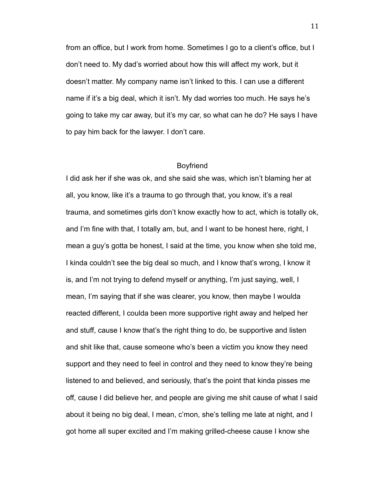from an office, but I work from home. Sometimes I go to a client's office, but I don't need to. My dad's worried about how this will affect my work, but it doesn't matter. My company name isn't linked to this. I can use a different name if it's a big deal, which it isn't. My dad worries too much. He says he's going to take my car away, but it's my car, so what can he do? He says I have to pay him back for the lawyer. I don't care.

## Boyfriend

I did ask her if she was ok, and she said she was, which isn't blaming her at all, you know, like it's a trauma to go through that, you know, it's a real trauma, and sometimes girls don't know exactly how to act, which is totally ok, and I'm fine with that, I totally am, but, and I want to be honest here, right, I mean a guy's gotta be honest, I said at the time, you know when she told me, I kinda couldn't see the big deal so much, and I know that's wrong, I know it is, and I'm not trying to defend myself or anything, I'm just saying, well, I mean, I'm saying that if she was clearer, you know, then maybe I woulda reacted different, I coulda been more supportive right away and helped her and stuff, cause I know that's the right thing to do, be supportive and listen and shit like that, cause someone who's been a victim you know they need support and they need to feel in control and they need to know they're being listened to and believed, and seriously, that's the point that kinda pisses me off, cause I did believe her, and people are giving me shit cause of what I said about it being no big deal, I mean, c'mon, she's telling me late at night, and I got home all super excited and I'm making grilled-cheese cause I know she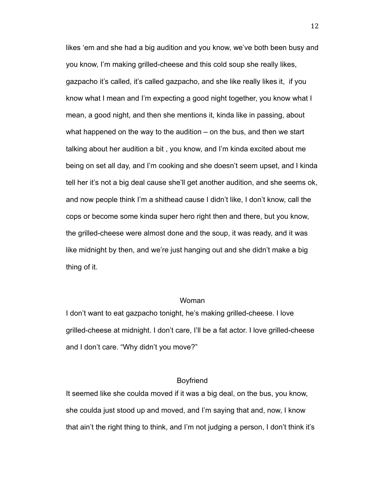likes 'em and she had a big audition and you know, we've both been busy and you know, I'm making grilled-cheese and this cold soup she really likes, gazpacho it's called, it's called gazpacho, and she like really likes it, if you know what I mean and I'm expecting a good night together, you know what I mean, a good night, and then she mentions it, kinda like in passing, about what happened on the way to the audition – on the bus, and then we start talking about her audition a bit , you know, and I'm kinda excited about me being on set all day, and I'm cooking and she doesn't seem upset, and I kinda tell her it's not a big deal cause she'll get another audition, and she seems ok, and now people think I'm a shithead cause I didn't like, I don't know, call the cops or become some kinda super hero right then and there, but you know, the grilled-cheese were almost done and the soup, it was ready, and it was like midnight by then, and we're just hanging out and she didn't make a big thing of it.

### Woman

I don't want to eat gazpacho tonight, he's making grilled-cheese. I love grilled-cheese at midnight. I don't care, I'll be a fat actor. I love grilled-cheese and I don't care. "Why didn't you move?"

## Boyfriend

It seemed like she coulda moved if it was a big deal, on the bus, you know, she coulda just stood up and moved, and I'm saying that and, now, I know that ain't the right thing to think, and I'm not judging a person, I don't think it's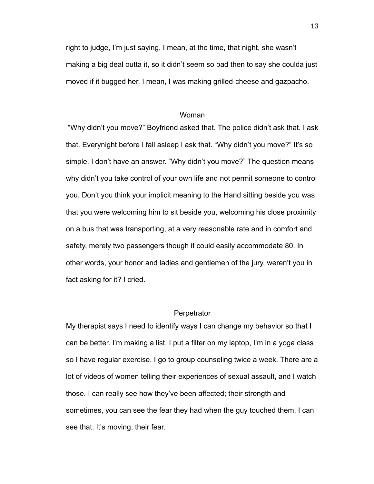right to judge, I'm just saying, I mean, at the time, that night, she wasn't making a big deal outta it, so it didn't seem so bad then to say she coulda just moved if it bugged her, I mean, I was making grilled-cheese and gazpacho.

### Woman

"Why didn't you move?" Boyfriend asked that. The police didn't ask that. I ask that. Everynight before I fall asleep I ask that. "Why didn't you move?" It's so simple. I don't have an answer. "Why didn't you move?" The question means why didn't you take control of your own life and not permit someone to control you. Don't you think your implicit meaning to the Hand sitting beside you was that you were welcoming him to sit beside you, welcoming his close proximity on a bus that was transporting, at a very reasonable rate and in comfort and safety, merely two passengers though it could easily accommodate 80. In other words, your honor and ladies and gentlemen of the jury, weren't you in fact asking for it? I cried.

## **Perpetrator**

My therapist says I need to identify ways I can change my behavior so that I can be better. I'm making a list. I put a filter on my laptop, I'm in a yoga class so I have regular exercise, I go to group counseling twice a week. There are a lot of videos of women telling their experiences of sexual assault, and I watch those. I can really see how they've been affected; their strength and sometimes, you can see the fear they had when the guy touched them. I can see that. It's moving, their fear.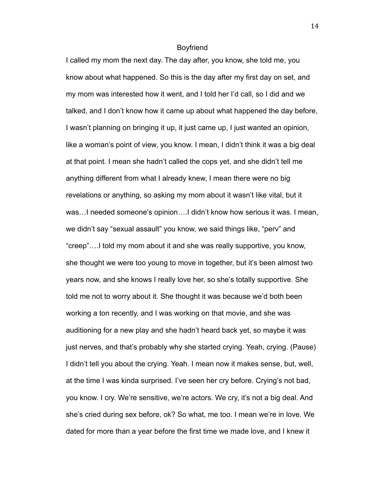#### Boyfriend

I called my mom the next day. The day after, you know, she told me, you know about what happened. So this is the day after my first day on set, and my mom was interested how it went, and I told her I'd call, so I did and we talked, and I don't know how it came up about what happened the day before, I wasn't planning on bringing it up, it just came up, I just wanted an opinion, like a woman's point of view, you know. I mean, I didn't think it was a big deal at that point. I mean she hadn't called the cops yet, and she didn't tell me anything different from what I already knew, I mean there were no big revelations or anything, so asking my mom about it wasn't like vital, but it was…I needed someone's opinion….I didn't know how serious it was. I mean, we didn't say "sexual assault" you know, we said things like, "perv" and "creep"….I told my mom about it and she was really supportive, you know, she thought we were too young to move in together, but it's been almost two years now, and she knows I really love her, so she's totally supportive. She told me not to worry about it. She thought it was because we'd both been working a ton recently, and I was working on that movie, and she was auditioning for a new play and she hadn't heard back yet, so maybe it was just nerves, and that's probably why she started crying. Yeah, crying. (Pause) I didn't tell you about the crying. Yeah. I mean now it makes sense, but, well, at the time I was kinda surprised. I've seen her cry before. Crying's not bad, you know. I cry. We're sensitive, we're actors. We cry, it's not a big deal. And she's cried during sex before, ok? So what, me too. I mean we're in love. We dated for more than a year before the first time we made love, and I knew it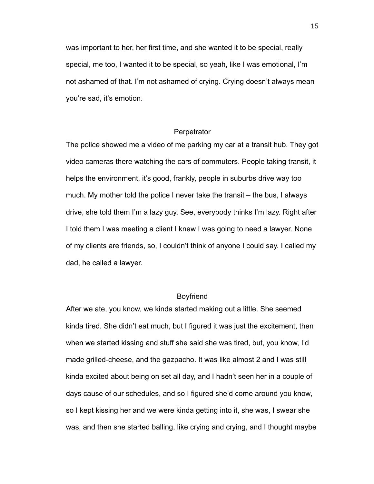was important to her, her first time, and she wanted it to be special, really special, me too, I wanted it to be special, so yeah, like I was emotional, I'm not ashamed of that. I'm not ashamed of crying. Crying doesn't always mean you're sad, it's emotion.

### **Perpetrator**

The police showed me a video of me parking my car at a transit hub. They got video cameras there watching the cars of commuters. People taking transit, it helps the environment, it's good, frankly, people in suburbs drive way too much. My mother told the police I never take the transit – the bus, I always drive, she told them I'm a lazy guy. See, everybody thinks I'm lazy. Right after I told them I was meeting a client I knew I was going to need a lawyer. None of my clients are friends, so, I couldn't think of anyone I could say. I called my dad, he called a lawyer.

## Boyfriend

After we ate, you know, we kinda started making out a little. She seemed kinda tired. She didn't eat much, but I figured it was just the excitement, then when we started kissing and stuff she said she was tired, but, you know, I'd made grilled-cheese, and the gazpacho. It was like almost 2 and I was still kinda excited about being on set all day, and I hadn't seen her in a couple of days cause of our schedules, and so I figured she'd come around you know, so I kept kissing her and we were kinda getting into it, she was, I swear she was, and then she started balling, like crying and crying, and I thought maybe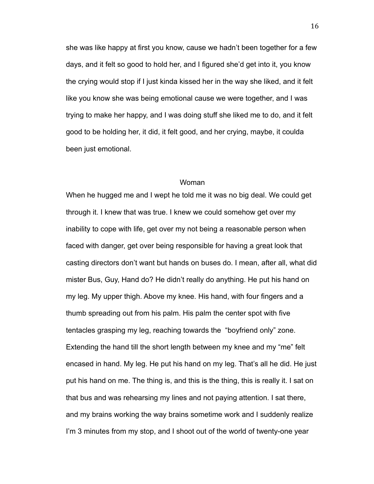she was like happy at first you know, cause we hadn't been together for a few days, and it felt so good to hold her, and I figured she'd get into it, you know the crying would stop if I just kinda kissed her in the way she liked, and it felt like you know she was being emotional cause we were together, and I was trying to make her happy, and I was doing stuff she liked me to do, and it felt good to be holding her, it did, it felt good, and her crying, maybe, it coulda been just emotional.

#### Woman

When he hugged me and I wept he told me it was no big deal. We could get through it. I knew that was true. I knew we could somehow get over my inability to cope with life, get over my not being a reasonable person when faced with danger, get over being responsible for having a great look that casting directors don't want but hands on buses do. I mean, after all, what did mister Bus, Guy, Hand do? He didn't really do anything. He put his hand on my leg. My upper thigh. Above my knee. His hand, with four fingers and a thumb spreading out from his palm. His palm the center spot with five tentacles grasping my leg, reaching towards the "boyfriend only" zone. Extending the hand till the short length between my knee and my "me" felt encased in hand. My leg. He put his hand on my leg. That's all he did. He just put his hand on me. The thing is, and this is the thing, this is really it. I sat on that bus and was rehearsing my lines and not paying attention. I sat there, and my brains working the way brains sometime work and I suddenly realize I'm 3 minutes from my stop, and I shoot out of the world of twenty-one year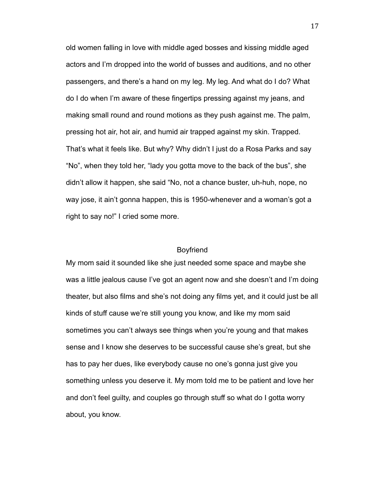old women falling in love with middle aged bosses and kissing middle aged actors and I'm dropped into the world of busses and auditions, and no other passengers, and there's a hand on my leg. My leg. And what do I do? What do I do when I'm aware of these fingertips pressing against my jeans, and making small round and round motions as they push against me. The palm, pressing hot air, hot air, and humid air trapped against my skin. Trapped. That's what it feels like. But why? Why didn't I just do a Rosa Parks and say "No", when they told her, "lady you gotta move to the back of the bus", she didn't allow it happen, she said "No, not a chance buster, uh-huh, nope, no way jose, it ain't gonna happen, this is 1950-whenever and a woman's got a right to say no!" I cried some more.

#### Boyfriend

My mom said it sounded like she just needed some space and maybe she was a little jealous cause I've got an agent now and she doesn't and I'm doing theater, but also films and she's not doing any films yet, and it could just be all kinds of stuff cause we're still young you know, and like my mom said sometimes you can't always see things when you're young and that makes sense and I know she deserves to be successful cause she's great, but she has to pay her dues, like everybody cause no one's gonna just give you something unless you deserve it. My mom told me to be patient and love her and don't feel guilty, and couples go through stuff so what do I gotta worry about, you know.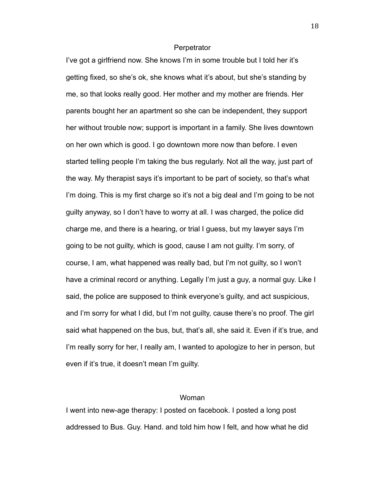#### **Perpetrator**

I've got a girlfriend now. She knows I'm in some trouble but I told her it's getting fixed, so she's ok, she knows what it's about, but she's standing by me, so that looks really good. Her mother and my mother are friends. Her parents bought her an apartment so she can be independent, they support her without trouble now; support is important in a family. She lives downtown on her own which is good. I go downtown more now than before. I even started telling people I'm taking the bus regularly. Not all the way, just part of the way. My therapist says it's important to be part of society, so that's what I'm doing. This is my first charge so it's not a big deal and I'm going to be not guilty anyway, so I don't have to worry at all. I was charged, the police did charge me, and there is a hearing, or trial I guess, but my lawyer says I'm going to be not guilty, which is good, cause I am not guilty. I'm sorry, of course, I am, what happened was really bad, but I'm not guilty, so I won't have a criminal record or anything. Legally I'm just a guy, a normal guy. Like I said, the police are supposed to think everyone's guilty, and act suspicious, and I'm sorry for what I did, but I'm not guilty, cause there's no proof. The girl said what happened on the bus, but, that's all, she said it. Even if it's true, and I'm really sorry for her, I really am, I wanted to apologize to her in person, but even if it's true, it doesn't mean I'm guilty.

## Woman

I went into new-age therapy: I posted on facebook. I posted a long post addressed to Bus. Guy. Hand. and told him how I felt, and how what he did

18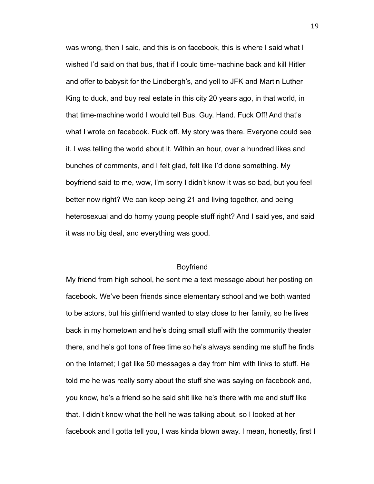was wrong, then I said, and this is on facebook, this is where I said what I wished I'd said on that bus, that if I could time-machine back and kill Hitler and offer to babysit for the Lindbergh's, and yell to JFK and Martin Luther King to duck, and buy real estate in this city 20 years ago, in that world, in that time-machine world I would tell Bus. Guy. Hand. Fuck Off! And that's what I wrote on facebook. Fuck off. My story was there. Everyone could see it. I was telling the world about it. Within an hour, over a hundred likes and bunches of comments, and I felt glad, felt like I'd done something. My boyfriend said to me, wow, I'm sorry I didn't know it was so bad, but you feel better now right? We can keep being 21 and living together, and being heterosexual and do horny young people stuff right? And I said yes, and said it was no big deal, and everything was good.

## Boyfriend

My friend from high school, he sent me a text message about her posting on facebook. We've been friends since elementary school and we both wanted to be actors, but his girlfriend wanted to stay close to her family, so he lives back in my hometown and he's doing small stuff with the community theater there, and he's got tons of free time so he's always sending me stuff he finds on the Internet; I get like 50 messages a day from him with links to stuff. He told me he was really sorry about the stuff she was saying on facebook and, you know, he's a friend so he said shit like he's there with me and stuff like that. I didn't know what the hell he was talking about, so I looked at her facebook and I gotta tell you, I was kinda blown away. I mean, honestly, first I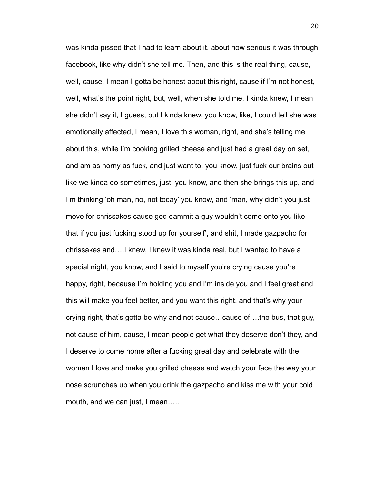was kinda pissed that I had to learn about it, about how serious it was through facebook, like why didn't she tell me. Then, and this is the real thing, cause, well, cause, I mean I gotta be honest about this right, cause if I'm not honest, well, what's the point right, but, well, when she told me, I kinda knew, I mean she didn't say it, I guess, but I kinda knew, you know, like, I could tell she was emotionally affected, I mean, I love this woman, right, and she's telling me about this, while I'm cooking grilled cheese and just had a great day on set, and am as horny as fuck, and just want to, you know, just fuck our brains out like we kinda do sometimes, just, you know, and then she brings this up, and I'm thinking 'oh man, no, not today' you know, and 'man, why didn't you just move for chrissakes cause god dammit a guy wouldn't come onto you like that if you just fucking stood up for yourself', and shit, I made gazpacho for chrissakes and….I knew, I knew it was kinda real, but I wanted to have a special night, you know, and I said to myself you're crying cause you're happy, right, because I'm holding you and I'm inside you and I feel great and this will make you feel better, and you want this right, and that's why your crying right, that's gotta be why and not cause…cause of….the bus, that guy, not cause of him, cause, I mean people get what they deserve don't they, and I deserve to come home after a fucking great day and celebrate with the woman I love and make you grilled cheese and watch your face the way your nose scrunches up when you drink the gazpacho and kiss me with your cold mouth, and we can just, I mean…..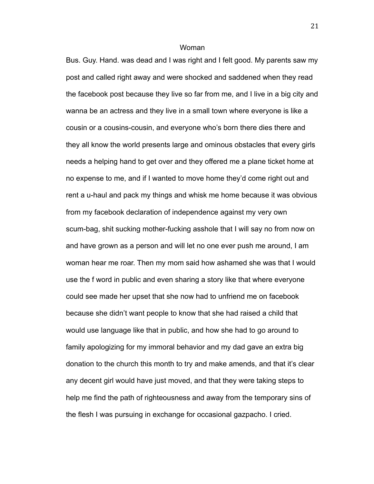Bus. Guy. Hand. was dead and I was right and I felt good. My parents saw my post and called right away and were shocked and saddened when they read the facebook post because they live so far from me, and I live in a big city and wanna be an actress and they live in a small town where everyone is like a cousin or a cousins-cousin, and everyone who's born there dies there and they all know the world presents large and ominous obstacles that every girls needs a helping hand to get over and they offered me a plane ticket home at no expense to me, and if I wanted to move home they'd come right out and rent a u-haul and pack my things and whisk me home because it was obvious from my facebook declaration of independence against my very own scum-bag, shit sucking mother-fucking asshole that I will say no from now on and have grown as a person and will let no one ever push me around, I am woman hear me roar. Then my mom said how ashamed she was that I would use the f word in public and even sharing a story like that where everyone could see made her upset that she now had to unfriend me on facebook because she didn't want people to know that she had raised a child that would use language like that in public, and how she had to go around to family apologizing for my immoral behavior and my dad gave an extra big donation to the church this month to try and make amends, and that it's clear any decent girl would have just moved, and that they were taking steps to help me find the path of righteousness and away from the temporary sins of the flesh I was pursuing in exchange for occasional gazpacho. I cried.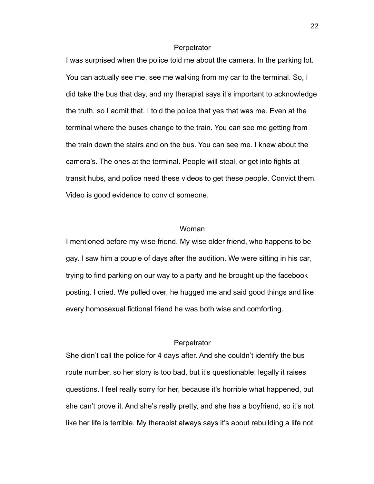#### **Perpetrator**

I was surprised when the police told me about the camera. In the parking lot. You can actually see me, see me walking from my car to the terminal. So, I did take the bus that day, and my therapist says it's important to acknowledge the truth, so I admit that. I told the police that yes that was me. Even at the terminal where the buses change to the train. You can see me getting from the train down the stairs and on the bus. You can see me. I knew about the camera's. The ones at the terminal. People will steal, or get into fights at transit hubs, and police need these videos to get these people. Convict them. Video is good evidence to convict someone.

### Woman

I mentioned before my wise friend. My wise older friend, who happens to be gay. I saw him a couple of days after the audition. We were sitting in his car, trying to find parking on our way to a party and he brought up the facebook posting. I cried. We pulled over, he hugged me and said good things and like every homosexual fictional friend he was both wise and comforting.

### **Perpetrator**

She didn't call the police for 4 days after. And she couldn't identify the bus route number, so her story is too bad, but it's questionable; legally it raises questions. I feel really sorry for her, because it's horrible what happened, but she can't prove it. And she's really pretty, and she has a boyfriend, so it's not like her life is terrible. My therapist always says it's about rebuilding a life not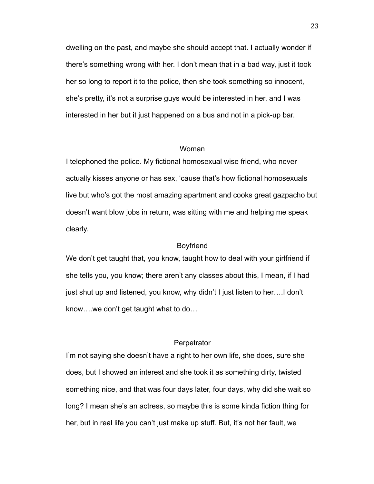dwelling on the past, and maybe she should accept that. I actually wonder if there's something wrong with her. I don't mean that in a bad way, just it took her so long to report it to the police, then she took something so innocent, she's pretty, it's not a surprise guys would be interested in her, and I was interested in her but it just happened on a bus and not in a pick-up bar.

#### Woman

I telephoned the police. My fictional homosexual wise friend, who never actually kisses anyone or has sex, 'cause that's how fictional homosexuals live but who's got the most amazing apartment and cooks great gazpacho but doesn't want blow jobs in return, was sitting with me and helping me speak clearly.

### Boyfriend

We don't get taught that, you know, taught how to deal with your girlfriend if she tells you, you know; there aren't any classes about this, I mean, if I had just shut up and listened, you know, why didn't I just listen to her….I don't know….we don't get taught what to do…

## **Perpetrator**

I'm not saying she doesn't have a right to her own life, she does, sure she does, but I showed an interest and she took it as something dirty, twisted something nice, and that was four days later, four days, why did she wait so long? I mean she's an actress, so maybe this is some kinda fiction thing for her, but in real life you can't just make up stuff. But, it's not her fault, we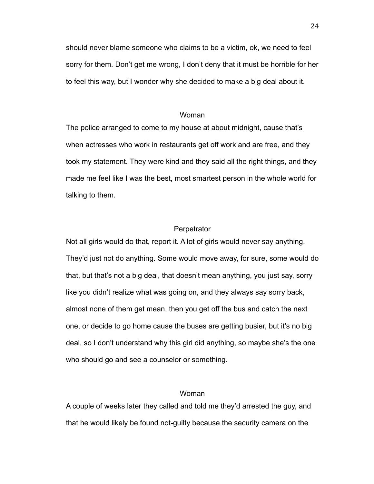should never blame someone who claims to be a victim, ok, we need to feel sorry for them. Don't get me wrong, I don't deny that it must be horrible for her to feel this way, but I wonder why she decided to make a big deal about it.

## Woman

The police arranged to come to my house at about midnight, cause that's when actresses who work in restaurants get off work and are free, and they took my statement. They were kind and they said all the right things, and they made me feel like I was the best, most smartest person in the whole world for talking to them.

### **Perpetrator**

Not all girls would do that, report it. A lot of girls would never say anything. They'd just not do anything. Some would move away, for sure, some would do that, but that's not a big deal, that doesn't mean anything, you just say, sorry like you didn't realize what was going on, and they always say sorry back, almost none of them get mean, then you get off the bus and catch the next one, or decide to go home cause the buses are getting busier, but it's no big deal, so I don't understand why this girl did anything, so maybe she's the one who should go and see a counselor or something.

### Woman

A couple of weeks later they called and told me they'd arrested the guy, and that he would likely be found not-guilty because the security camera on the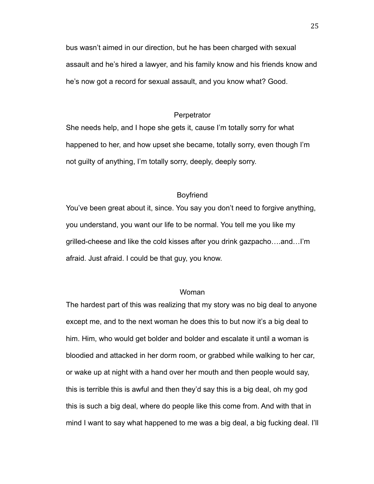bus wasn't aimed in our direction, but he has been charged with sexual assault and he's hired a lawyer, and his family know and his friends know and he's now got a record for sexual assault, and you know what? Good.

### **Perpetrator**

She needs help, and I hope she gets it, cause I'm totally sorry for what happened to her, and how upset she became, totally sorry, even though I'm not guilty of anything, I'm totally sorry, deeply, deeply sorry.

# Boyfriend

You've been great about it, since. You say you don't need to forgive anything, you understand, you want our life to be normal. You tell me you like my grilled-cheese and like the cold kisses after you drink gazpacho….and…I'm afraid. Just afraid. I could be that guy, you know.

#### Woman

The hardest part of this was realizing that my story was no big deal to anyone except me, and to the next woman he does this to but now it's a big deal to him. Him, who would get bolder and bolder and escalate it until a woman is bloodied and attacked in her dorm room, or grabbed while walking to her car, or wake up at night with a hand over her mouth and then people would say, this is terrible this is awful and then they'd say this is a big deal, oh my god this is such a big deal, where do people like this come from. And with that in mind I want to say what happened to me was a big deal, a big fucking deal. I'll